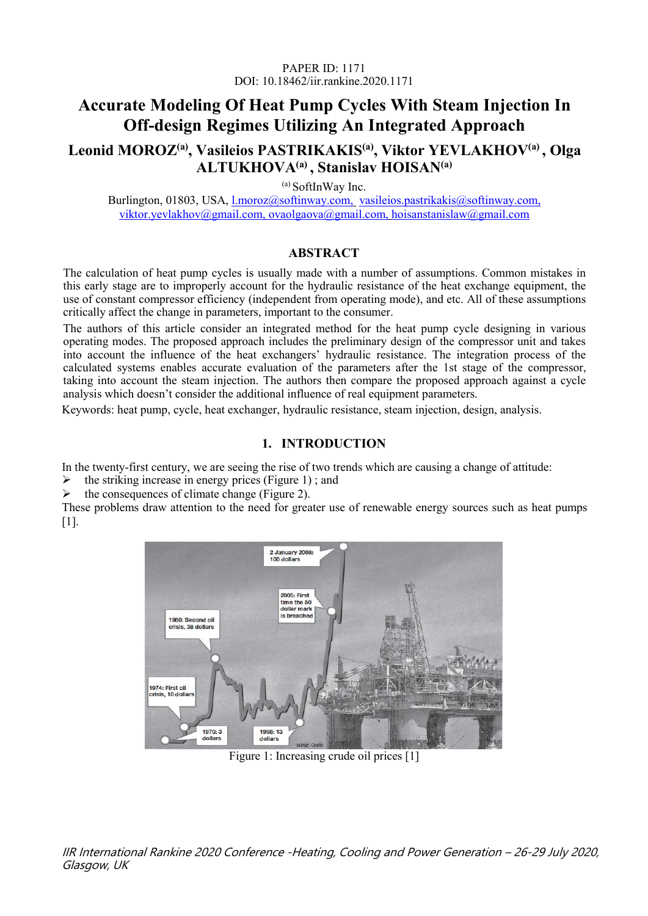# **Accurate Modeling Of Heat Pump Cycles With Steam Injection In Off-design Regimes Utilizing An Integrated Approach**

# **Leonid MOROZ (a) , Vasileios PASTRIKAKIS (a) , Viktor YEVLAKHOV(a) , Olga ALTUKHOVA(a) , Stanislav HOISAN(a)**

(a) SoftInWay Inc.

Burlington, 01803, USA, [l.moroz@softinway.com,](mailto:l.moroz@softinway.com,) [vasileios.pastrikakis@softinway.com,](mailto:vasileios.pastrikakis@softinway.com,) viktor.yevlakhov@gmail.com, [ovaolgaova@gmail.com,](mailto:o.altukhova@softinway.com,) hoisanstanislaw@gmail.com

### **ABSTRACT**

The calculation of heat pump cycles is usually made with a number of assumptions. Common mistakes in this early stage are to improperly account for the hydraulic resistance of the heat exchange equipment, the use of constant compressor efficiency (independent from operating mode), and etc. All of these assumptions critically affect the change in parameters, important to the consumer.

The authors of this article consider an integrated method for the heat pump cycle designing in various operating modes. The proposed approach includes the preliminary design of the compressor unit and takes into account the influence of the heat exchangers' hydraulic resistance. The integration process of the calculated systems enables accurate evaluation of the parameters after the 1st stage of the compressor, taking into account the steam injection. The authors then compare the proposed approach against a cycle analysis which doesn't consider the additional influence of real equipment parameters.

Keywords: heat pump, cycle, heat exchanger, hydraulic resistance, steam injection, design, analysis.

### **1. INTRODUCTION**

In the twenty-first century, we are seeing the rise of two trends which are causing a change of attitude:

the striking increase in energy prices (Figure 1) ; and

the consequences of climate change (Figure 2).

These problems draw attention to the need for greater use of renewable energy sources such as heat pumps [1].



Figure 1: Increasing crude oil prices [1]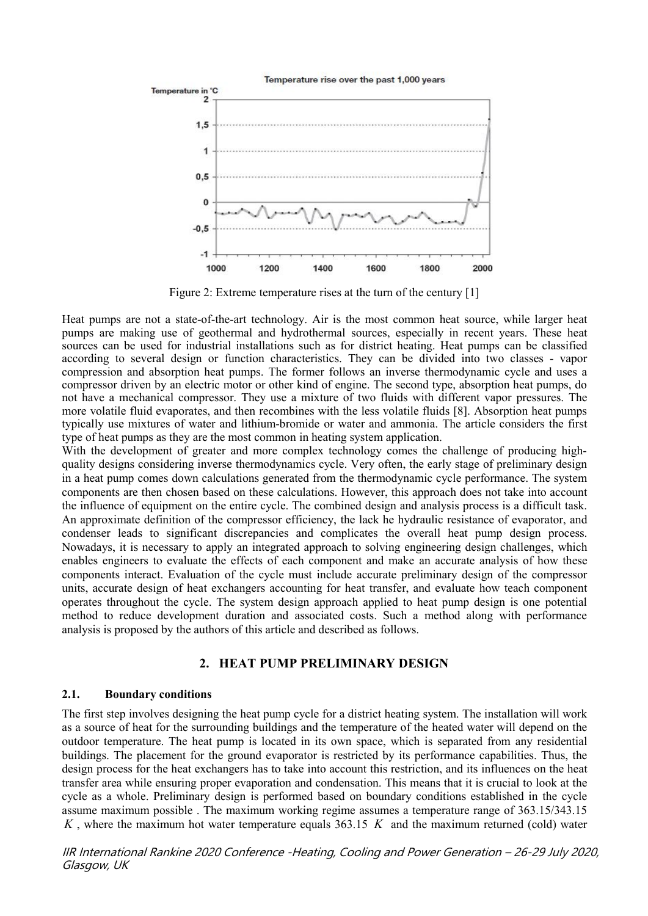

Figure 2: Extreme temperature rises at the turn of the century [1]

Heat pumps are not a state-of-the-art technology. Air is the most common heat source, while larger heat pumps are making use of geothermal and hydrothermal sources, especially in recent years. These heat sources can be used for industrial installations such as for district heating. Heat pumps can be classified according to several design or function characteristics. They can be divided into two classes - vapor compression and absorption heat pumps. The former follows an inverse thermodynamic cycle and usesa compressor driven by an electric motor or other kind of engine. The second type, absorption heat pumps, do not have a mechanical compressor. They use a mixture of two fluids with different vapor pressures. The more volatile fluid evaporates, and then recombines with the less volatile fluids [8]. Absorption heat pumps typically use mixtures of water and lithium-bromide or water and ammonia. The article considers the first type of heat pumps as they are the most common in heating system application.

With the development of greater and more complex technology comes the challenge of producing highquality designs considering inverse thermodynamics cycle. Very often, the early stage of preliminary design in a heat pump comes down calculations generated from the thermodynamic cycle performance. The system components are then chosen based on these calculations. However, this approach does not take into account the influence of equipment on the entire cycle. The combined design and analysis process is a difficult task. An approximate definition of the compressor efficiency, the lack he hydraulic resistance of evaporator, and condenser leads to significant discrepancies and complicates the overall heat pump design process. Nowadays, it is necessary to apply an integrated approach to solving engineering design challenges, which enables engineers to evaluate the effects of each component and make an accurate analysis of how these components interact. Evaluation of the cycle must include accurate preliminary design of the compressor units, accurate design of heat exchangers accounting for heat transfer, and evaluate how teach component operates throughout the cycle. The system design approach applied to heat pump design is one potential method to reduce development duration and associated costs. Such a method along with performance analysis is proposed by the authors of this article and described as follows.

### **2. HEAT PUMP PRELIMINARY DESIGN**

#### **2.1. Boundary conditions**

The first step involves designing the heat pump cycle for a district heating system. The installation will work as a source of heat for the surrounding buildings and the temperature of the heated water will depend on the outdoor temperature. The heat pump is located in its own space, which is separated from any residential buildings. The placement for the ground evaporator is restricted by its performance capabilities. Thus, the design process for the heat exchangers has to take into account this restriction, and its influences on the heat transfer area while ensuring proper evaporation and condensation. This means that it is crucial to look at the cycle as a whole. Preliminary design is performed based on boundary conditions established in the cycle assume maximum possible . The maximum working regime assumes a temperature range of 363.15/343.15 *K* , where the maximum hot water temperature equals 363.15 *K* and the maximum returned (cold) water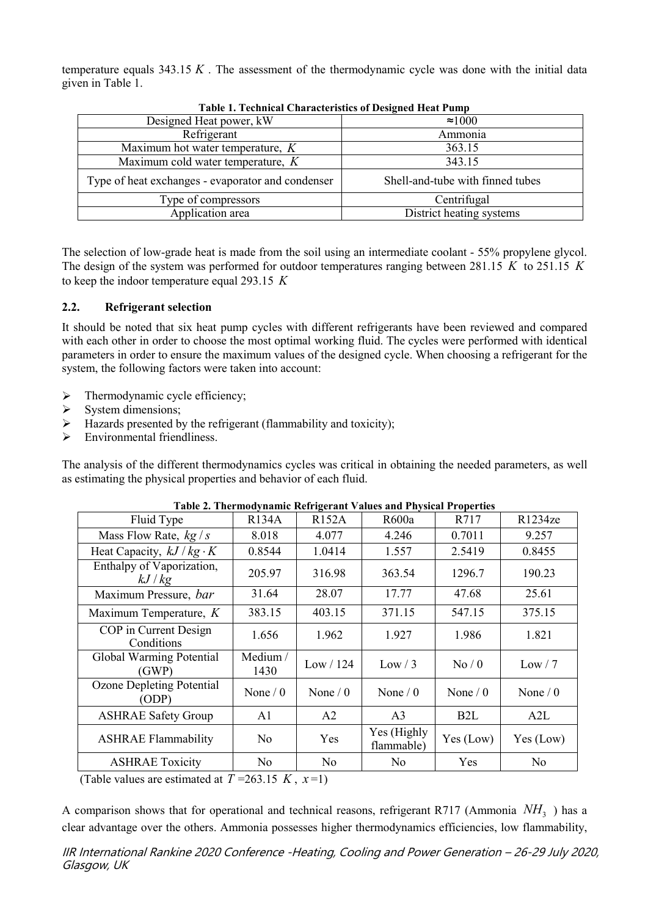temperature equals  $343.15 K$ . The assessment of the thermodynamic cycle was done with the initial data given in Table 1.

| Table 1: Technical Characteristics of Designed fieat I amp |
|------------------------------------------------------------|
| $\approx 1000$                                             |
| Ammonia                                                    |
| 363.15                                                     |
| 343.15                                                     |
| Shell-and-tube with finned tubes                           |
| Centrifugal                                                |
| District heating systems                                   |
|                                                            |

**Table 1. Technical Characteristics ofDesigned Heat Pump**

The selection of low-grade heat is made from the soil using an intermediate coolant- 55% propylene glycol. The design of the system was performed for outdoor temperatures ranging between 281.15 *K* to 251.15 *K* to keep the indoor temperature equal 293.15 *K*

### **2.2. Refrigerant selection**

It should be noted that six heat pump cycles with different refrigerants have been reviewed and compared with each other in order to choose the most optimal working fluid. The cycles were performed with identical parameters in order to ensure the maximum values of the designed cycle. When choosing a refrigerant for the system, the following factors were taken into account:

- $\triangleright$  Thermodynamic cycle efficiency;
- $\triangleright$  System dimensions:
- $\triangleright$  Hazards presented by the refrigerant (flammability and toxicity);
- $\triangleright$  Environmental friendliness.

The analysis of the different thermodynamics cycles was critical in obtaining the needed parameters, as well as estimating the physical properties and behavior of each fluid.

| Fluid Type                          | <b>R134A</b>     | <b>R152A</b> | R600a                     | R717             | R1234ze    |
|-------------------------------------|------------------|--------------|---------------------------|------------------|------------|
| Mass Flow Rate, $kg/s$              | 8.018            | 4.077        | 4.246                     | 0.7011           | 9.257      |
| Heat Capacity, $kJ/kg \cdot K$      | 0.8544           | 1.0414       | 1.557                     | 2.5419           | 0.8455     |
| Enthalpy of Vaporization,<br>kJ/kg  | 205.97           | 316.98       | 363.54                    | 1296.7           | 190.23     |
| Maximum Pressure, bar               | 31.64            | 28.07        | 17.77                     | 47.68            | 25.61      |
| Maximum Temperature, $K$            | 383.15           | 403.15       | 371.15                    | 547.15           | 375.15     |
| COP in Current Design<br>Conditions | 1.656            | 1.962        | 1.927                     | 1.986            | 1.821      |
| Global Warming Potential<br>(GWP)   | Medium /<br>1430 | Low / 124    | Low / 3                   | No/0             | Low / 7    |
| Ozone Depleting Potential<br>(ODP)  | None $/ 0$       | None $/ 0$   | None $/ 0$                | None $/ 0$       | None $/ 0$ |
| <b>ASHRAE Safety Group</b>          | A <sub>1</sub>   | A2           | A <sub>3</sub>            | B <sub>2</sub> L | A2L        |
| <b>ASHRAE Flammability</b>          | No               | Yes          | Yes (Highly<br>flammable) | Yes (Low)        | Yes (Low)  |
| <b>ASHRAE Toxicity</b>              | N <sub>o</sub>   | No           | No.                       | Yes              | No         |
| $(T-1)$ 1 $T-2$                     |                  |              |                           |                  |            |

| Table 2. Thermodynamic Refrigerant Values and Physical Properties |  |
|-------------------------------------------------------------------|--|
|                                                                   |  |

(Table values are estimated at  $T = 263.15 K$ ,  $x=1$ )

A comparison shows that for operational and technical reasons, refrigerant R717 (Ammonia  $NH<sub>3</sub>$  ) has a clear advantage over the others. Ammonia possesses higher thermodynamics efficiencies, low flammability,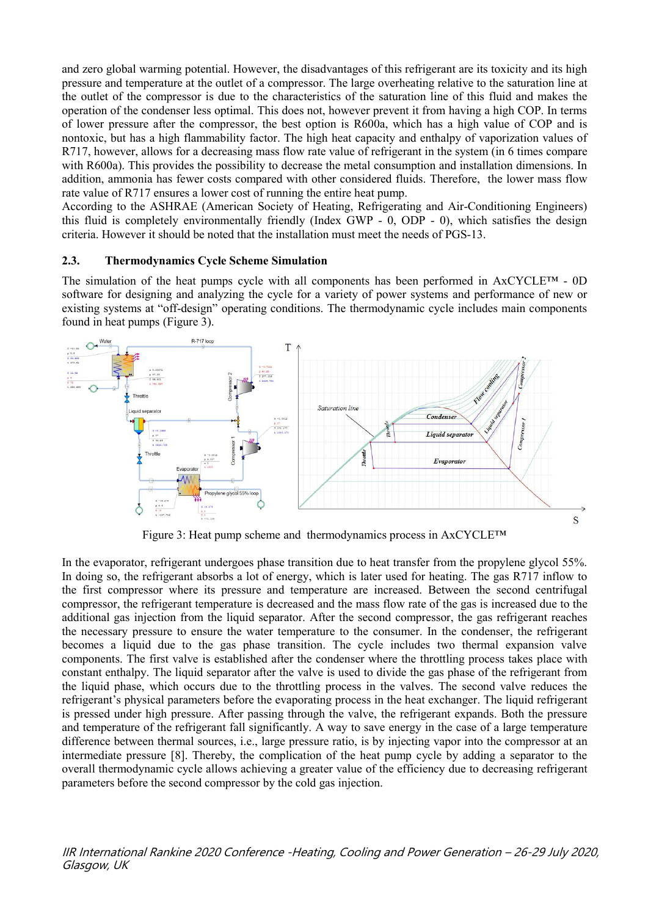and zero global warming potential. However, the disadvantages of this refrigerant are its toxicity and its high pressure and temperature at the outlet of a compressor. The large overheating relative to the saturation line at the outlet of the compressor is due to the characteristics of the saturation line of this fluid and makes the operation of the condenser less optimal. This does not, however prevent it from having a high COP. In terms of lower pressure after the compressor, the best option is R600a, which has a high value of COP and is nontoxic, but has a high flammability factor. The high heat capacity and enthalpy of vaporization values of R717, however, allows for a decreasing mass flow rate value of refrigerant in the system (in 6 times compare with R600a). This provides the possibility to decrease the metal consumption and installation dimensions. In addition, ammonia has fewer costs compared with other considered fluids. Therefore, the lower mass flow rate value of R717 ensures a lower cost of running the entire heat pump.

According to the ASHRAE (American Society of Heating, Refrigerating and Air-Conditioning Engineers) this fluid is completely environmentally friendly (Index GWP -  $0$ , ODP -  $0$ ), which satisfies the design criteria. However it should be noted that the installation must meet the needs ofPGS-13.

### **2.3. Thermodynamics Cycle Scheme Simulation**

The simulation of the heat pumps cycle with all components has been performed in  $AxCYCLE^{TM} - 0D$ software for designing and analyzing the cycle for a variety of power systems and performance of new or existing systems at "off-design" operating conditions.The thermodynamic cycle includes main components found in heat pumps (Figure 3).



Figure 3: Heat pump scheme and thermodynamics process in AxCYCLE™

In the evaporator, refrigerant undergoes phase transition due to heat transfer from the propylene glycol 55%. In doing so, the refrigerant absorbs a lot of energy, which is later used for heating. The gas R717 inflow to the first compressor where its pressure and temperature are increased. Between the second centrifugal compressor, the refrigerant temperature is decreased and the mass flow rate of the gas is increased due to the additional gas injection from the liquid separator. After the second compressor, the gas refrigerant reaches the necessary pressure to ensure the water temperature to the consumer. In the condenser, the refrigerant becomes a liquid due to the gas phase transition. The cycle includes two thermal expansion valve components. The first valve is established after the condenser where the throttling process takes place with constant enthalpy. The liquid separator after the valve is used to divide the gas phase of the refrigerant from the liquid phase, which occurs due to the throttling process in the valves. The second valve reduces the refrigerant's physical parameters before the evaporating process in the heat exchanger. The liquid refrigerant is pressed under high pressure. After passing through the valve, the refrigerant expands. Both the pressure and temperature of the refrigerant fall significantly. A way to save energy in the case of a large temperature difference between thermal sources, i.e., large pressure ratio, is by injecting vapor into the compressor at an intermediate pressure [8]. Thereby, the complication of the heat pump cycle by adding a separator to the overall thermodynamic cycle allows achieving a greater value of the efficiency due to decreasing refrigerant parameters before the second compressor by the cold gas injection.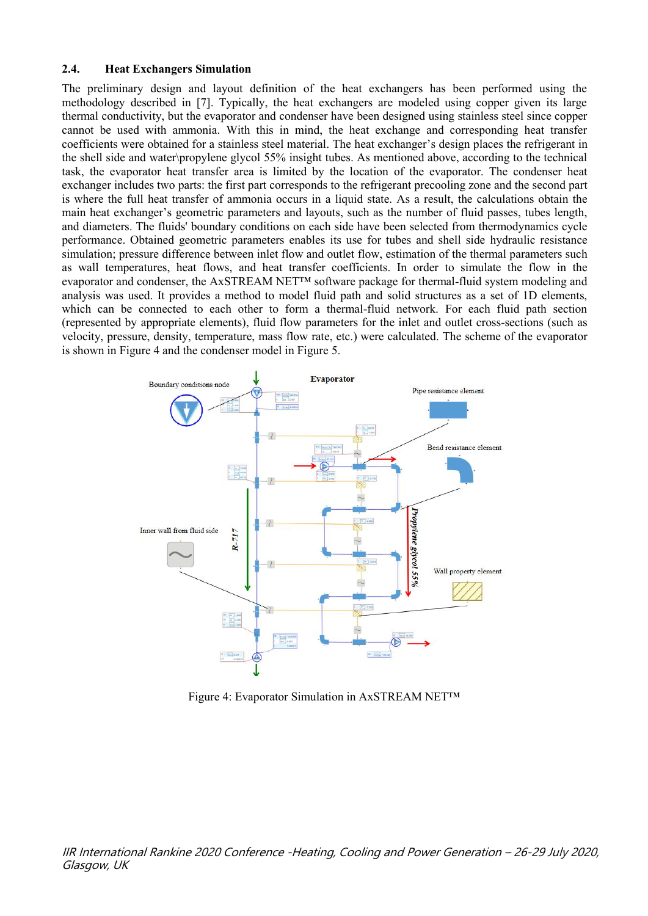#### **2.4. Heat Exchangers Simulation**

The preliminary design and layout definition of the heat exchangers has been performed using the methodology described in [7]. Typically, the heat exchangers are modeled using coppergiven its large thermal conductivity, but the evaporator and condenser have been designed using stainless steel since copper cannot be used with ammonia. With this in mind, the heat exchange and corresponding heat transfer coefficients were obtained for a stainless steel material. The heat exchanger's design places the refrigerant in the shell side and water\propylene glycol 55% insight tubes. As mentioned above, according to the technical task, the evaporator heat transfer area is limited by the location of the evaporator. The condenser heat exchanger includes two parts: the first part corresponds to the refrigerant precooling zone and the second part is where the full heat transfer of ammonia occurs in a liquid state. As a result, the calculations obtain the main heat exchanger's geometric parameters and layouts, such as the number of fluid passes, tubes length, and diameters. The fluids' boundary conditions on each side have been selected from thermodynamics cycle performance. Obtained geometric parameters enables its use for tubes and shell side hydraulic resistance simulation; pressure difference between inlet flow and outlet flow, estimation of the thermal parameters such as wall temperatures, heat flows, and heat transfer coefficients. In order to simulate the flow in the evaporator and condenser, the AxSTREAM NET™ software package for thermal-fluid system modeling and analysis was used. It provides a method to model fluid path and solid structures as a set of 1D elements, which can be connected to each other to form a thermal-fluid network. For each fluid path section (represented by appropriate elements), fluid flow parameters for the inlet and outlet cross-sections (such as velocity, pressure, density, temperature, mass flow rate, etc.) were calculated. The scheme of the evaporator is shown in Figure 4 and the condenser model in Figure 5.



Figure 4: Evaporator Simulation in AxSTREAM NET™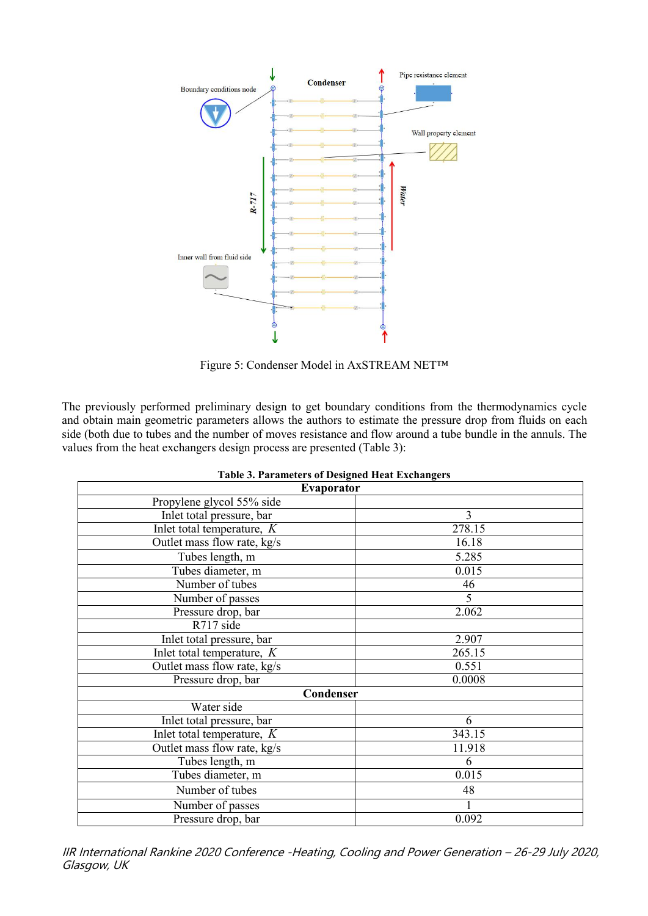

Figure 5: Condenser Model in AxSTREAM NET™

The previously performed preliminary design to get boundary conditions from the thermodynamics cycle and obtain main geometric parameters allows the authors to estimate the pressure drop from fluids on each side (both due to tubes and the number of moves resistance and flow around a tube bundle in the annuls. The values from the heat exchangers design process are presented (Table 3):

| Table 9. I al allietti s of Designed Ticat Exenaligers |                |
|--------------------------------------------------------|----------------|
| <b>Evaporator</b>                                      |                |
| Propylene glycol 55% side                              |                |
| Inlet total pressure, bar                              | $\overline{3}$ |
| Inlet total temperature, $K$                           | 278.15         |
| Outlet mass flow rate, kg/s                            | 16.18          |
| Tubes length, m                                        | 5.285          |
| Tubes diameter, m                                      | 0.015          |
| Number of tubes                                        | 46             |
| Number of passes                                       | $\overline{5}$ |
| Pressure drop, bar                                     | 2.062          |
| R717 side                                              |                |
| Inlet total pressure, bar                              | 2.907          |
| Inlet total temperature, $K$                           | 265.15         |
| Outlet mass flow rate, kg/s                            | 0.551          |
| Pressure drop, bar                                     | 0.0008         |
| Condenser                                              |                |
| Water side                                             |                |
| Inlet total pressure, bar                              | 6              |
| Inlet total temperature, $K$                           | 343.15         |
| Outlet mass flow rate, kg/s                            | 11.918         |
| Tubes length, m                                        | 6              |
| Tubes diameter, m                                      | 0.015          |
| Number of tubes                                        | 48             |
| Number of passes                                       |                |
| Pressure drop, bar                                     | 0.092          |

| <b>Table 3. Parameters of Designed Heat Exchangers</b> |  |
|--------------------------------------------------------|--|
|                                                        |  |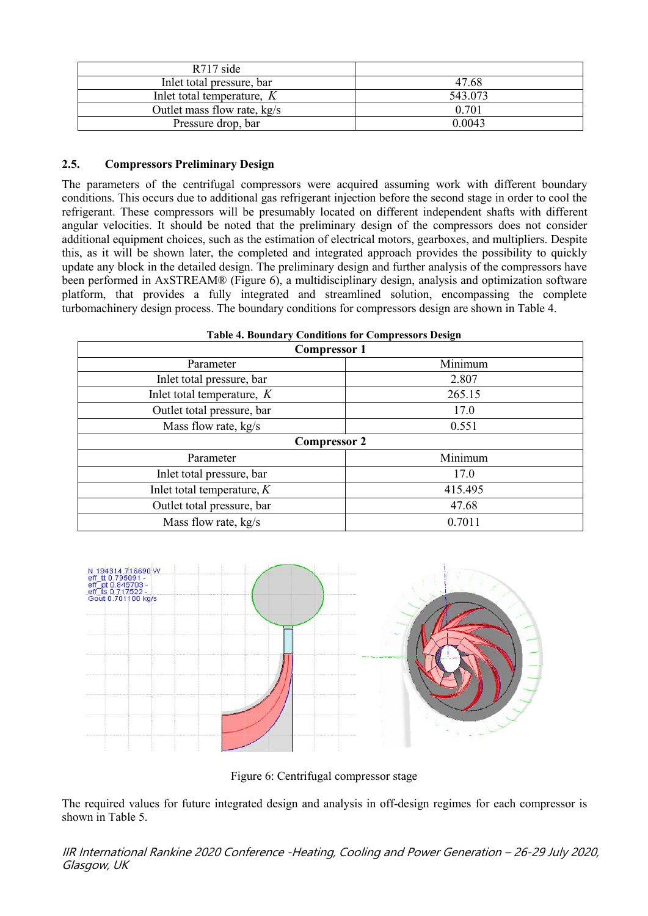| $R717$ side                   |         |
|-------------------------------|---------|
| Inlet total pressure, bar     | 47.68   |
| Inlet total temperature, $K$  | 543.073 |
| Outlet mass flow rate, $kg/s$ | 0.701   |
| Pressure drop, bar            | 0.0043  |

### **2.5. Compressors Preliminary Design**

The parameters of the centrifugal compressors were acquired assuming work with different boundary conditions. This occurs due to additionalgas refrigerant injection before the second stage in order to cool the refrigerant. These compressors will be presumably located on different independent shafts with different angular velocities. It should be noted that the preliminary design of the compressors does not consider additional equipment choices, such as the estimation of electrical motors, gearboxes, and multipliers. Despite this, as it will be shown later, the completed and integrated approach provides the possibility to quickly update any block in the detailed design. The preliminary design and further analysis of the compressors have been performed in AxSTREAM® (Figure 6), a multidisciplinary design, analysis and optimization software platform, that provides a fully integrated and streamlined solution, encompassing the complete turbomachinery design process. The boundary conditions for compressors design are shown in Table 4.

| <b>Table 4. Boundary Conditions for Compressors Design</b> |  |  |
|------------------------------------------------------------|--|--|
|                                                            |  |  |

| <b>Compressor 1</b>          |         |
|------------------------------|---------|
| Parameter                    | Minimum |
| Inlet total pressure, bar    | 2.807   |
| Inlet total temperature, $K$ | 265.15  |
| Outlet total pressure, bar   | 17.0    |
| Mass flow rate, kg/s         | 0.551   |
| <b>Compressor 2</b>          |         |
| Parameter                    | Minimum |
| Inlet total pressure, bar    | 17.0    |
| Inlet total temperature, $K$ | 415.495 |
| Outlet total pressure, bar   | 47.68   |
| Mass flow rate, kg/s         | 0.7011  |



Figure 6: Centrifugal compressor stage

The required values for future integrated design and analysis in off-design regimes for each compressor is shown in Table 5.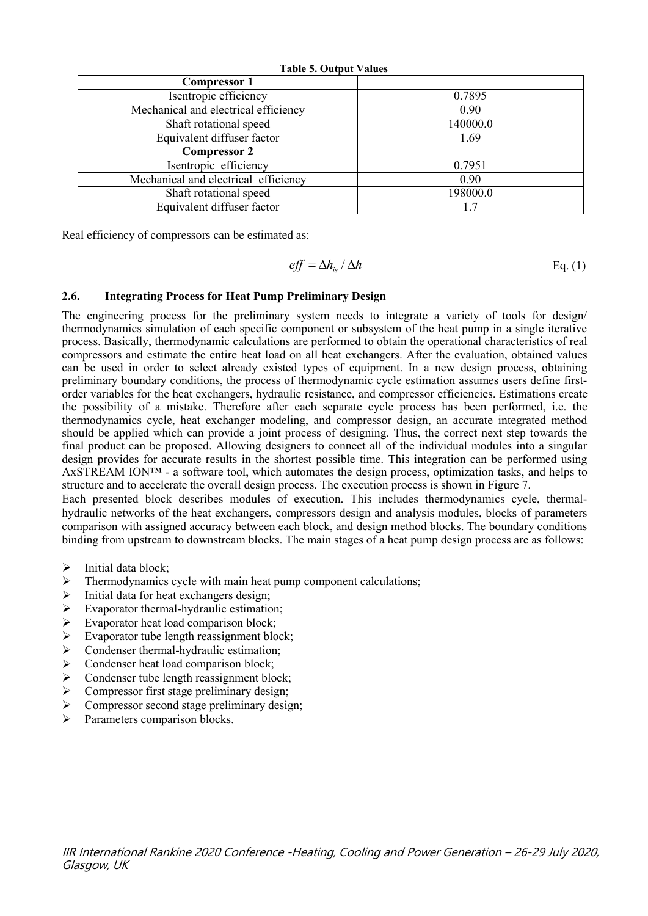| <b>Table 5. Output Values</b>        |          |  |
|--------------------------------------|----------|--|
| <b>Compressor 1</b>                  |          |  |
| Isentropic efficiency                | 0.7895   |  |
| Mechanical and electrical efficiency | 0.90     |  |
| Shaft rotational speed               | 140000.0 |  |
| Equivalent diffuser factor           | 1.69     |  |
| <b>Compressor 2</b>                  |          |  |
| Isentropic efficiency                | 0.7951   |  |
| Mechanical and electrical efficiency | 0.90     |  |
| Shaft rotational speed               | 198000.0 |  |
| Equivalent diffuser factor           | 1.7      |  |

Real efficiency of compressors can be estimated as:

$$
eff = \Delta h_{is} / \Delta h \qquad \qquad \text{Eq. (1)}
$$

### **2.6. Integrating Process for Heat Pump Preliminary Design**

The engineering process for the preliminary system needs to integrate a variety of tools for design/ thermodynamics simulation of each specific component or subsystem of the heat pump in a single iterative process. Basically, thermodynamic calculations are performed to obtain the operational characteristics ofreal compressors and estimate the entire heat load on all heat exchangers. After the evaluation, obtained values can be used in order to select already existed types of equipment. In a new design process, obtaining preliminary boundary conditions, the process of thermodynamic cycle estimation assumes users define firstorder variables for the heat exchangers, hydraulic resistance, and compressor efficiencies. Estimations create the possibility of a mistake. Therefore after each separate cycle process has been performed, i.e. the thermodynamics cycle, heat exchanger modeling, and compressor design, an accurate integrated method should be applied which can provide a joint process of designing. Thus, the correct next step towards the final product can be proposed. Allowing designers to connect all of the individual modules into a singular design provides for accurate results in the shortest possible time. This integration can be performed using AxSTREAM ION™ - a software tool, which automates the design process, optimization tasks, and helps to structure and to accelerate the overall design process. The execution process is shown in Figure 7.

Each presented block describes modules of execution. This includes thermodynamics cycle, thermal hydraulic networks of the heat exchangers, compressors design and analysis modules, blocks of parameters comparison with assigned accuracy between each block, and design method blocks. The boundary conditions binding from upstream to downstream blocks. The main stages of a heat pump design process are as follows:

- $\triangleright$  Initial data block;<br> $\triangleright$  Thermodynamics
- Thermodynamics cycle with main heat pump component calculations;
- $\triangleright$  Initial data for heat exchangers design;
- $\triangleright$  Evaporator thermal-hydraulic estimation;
- Evaporator heat load comparison block;<br>
Evaporator tube length reassignment blow
- Evaporator tube length reassignment block;<br>
Sondenser thermal-hydraulic estimation:
- Condenser thermal-hydraulic estimation;
- $\triangleright$  Condenser heat load comparison block;
- $\geq$  Condenser tube length reassignment block;<br> $\geq$  Compressor first stage preliminary design;
- Compressor first stage preliminary design;
- $\triangleright$  Compressor second stage preliminary design;
- Parameters comparison blocks.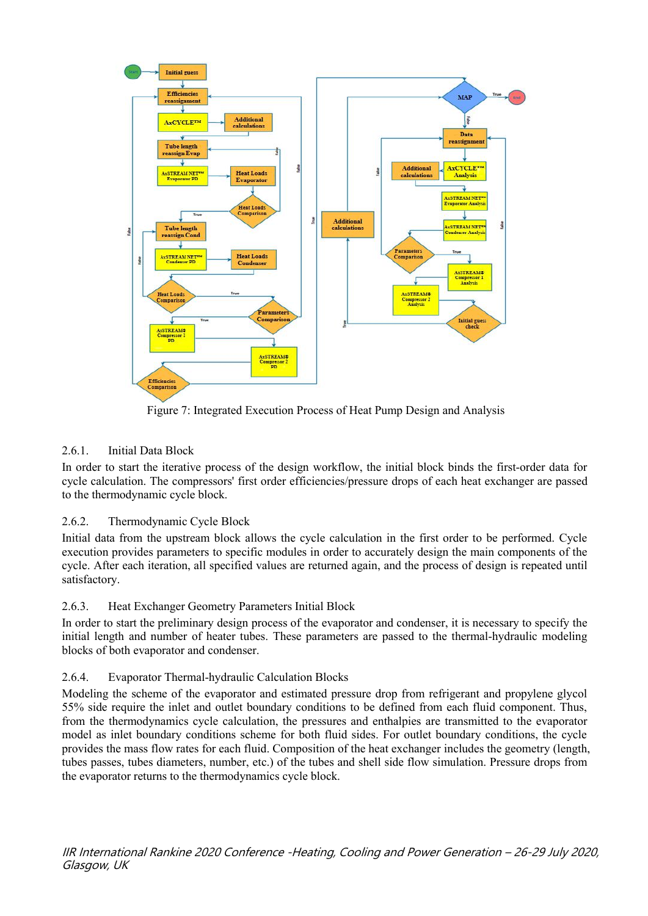

Figure 7: Integrated Execution Process of Heat Pump Design and Analysis

# 2.6.1. Initial Data Block

In order to start the iterative process of the design workflow, the initial block binds the first-order data for cycle calculation. The compressors' first order efficiencies/pressure drops of each heat exchanger are passed to the thermodynamic cycle block.

# 2.6.2. Thermodynamic Cycle Block

Initial data from the upstream block allows the cycle calculation in the first order to be performed. Cycle execution provides parameters to specific modules in order to accurately design the main components of the cycle. After each iteration, all specified values are returned again, and the process of design is repeated until satisfactory.

# 2.6.3. Heat Exchanger Geometry Parameters Initial Block

In order to start the preliminary design process of the evaporator and condenser, it is necessary to specify the initial length and number of heater tubes. These parameters are passed to the thermal-hydraulic modeling blocks of both evaporator and condenser.

# 2.6.4. Evaporator Thermal-hydraulic Calculation Blocks

Modeling the scheme of the evaporator and estimated pressure drop from refrigerant and propylene glycol 55% side require the inlet and outlet boundary conditions to be defined from each fluid component. Thus, from the thermodynamics cycle calculation, the pressures and enthalpies are transmitted to the evaporator model as inlet boundary conditions scheme for both fluid sides. For outlet boundary conditions, the cycle provides the mass flow rates for each fluid. Composition of the heat exchanger includes the geometry (length, tubes passes, tubes diameters, number, etc.) of the tubes and shell side flow simulation. Pressure drops from the evaporator returns to the thermodynamics cycle block.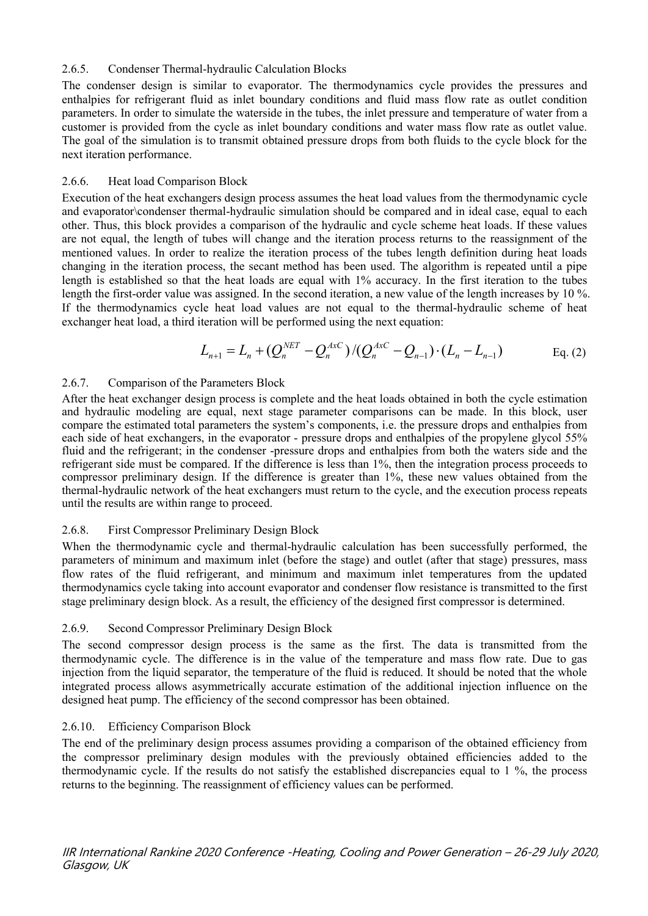### 2.6.5. Condenser Thermal-hydraulic Calculation Blocks

The condenser design is similar to evaporator. The thermodynamics cycle provides the pressures and enthalpies for refrigerant fluid as inlet boundary conditions and fluid mass flow rate as outlet condition parameters. In order to simulate the waterside in the tubes, the inlet pressure and temperature of water from a customer is provided from the cycle as inlet boundary conditions and water mass flow rate as outlet value. The goal of the simulation is to transmit obtained pressure drops from both fluids to the cycle block for the next iteration performance.

### 2.6.6. Heat load Comparison Block

Execution of the heat exchangers design process assumes the heat load values from the thermodynamic cycle and evaporator\condenser thermal-hydraulic simulation should be compared and in ideal case, equal to each other. Thus, this block provides a comparison of the hydraulic and cycle scheme heat loads. If these values are not equal, the length of tubes will change and the iteration process returns to the reassignment of the mentioned values. In order to realize the iteration process of the tubes length definition during heat loads changing in the iteration process, the secant method has been used. The algorithm is repeated until a pipe length is established so that the heat loads are equal with 1% accuracy. In the first iteration to the tubes length the first-order value was assigned. In the second iteration, a new value of the length increases by 10 %. If the thermodynamics cycle heat load values are not equal to the thermal-hydraulic scheme of heat exchanger heat load, a third iteration will be performed using the next equation:

$$
L_{n+1} = L_n + (Q_n^{NET} - Q_n^{AxC})/(Q_n^{AxC} - Q_{n-1}) \cdot (L_n - L_{n-1})
$$
 Eq. (2)

### 2.6.7. Comparison of the Parameters Block

After the heat exchanger design process is complete and the heat loads obtained in both the cycle estimation and hydraulic modeling are equal, next stage parameter comparisons can be made. In this block, user compare the estimated total parameters the system's components, i.e. the pressure drops and enthalpies from each side of heat exchangers, in the evaporator - pressure drops and enthalpies of the propylene glycol 55% fluid and the refrigerant; in the condenser -pressure drops and enthalpies from both the waters side and the refrigerant side must be compared. If the difference is less than 1%, then the integration process proceeds to compressor preliminary design. If the difference is greater than 1%, these new values obtained from the thermal-hydraulic network of the heat exchangers must return to the cycle, and the execution process repeats until the results are within range to proceed.

### 2.6.8. First Compressor Preliminary Design Block

When the thermodynamic cycle and thermal-hydraulic calculation has been successfully performed, the parameters of minimum and maximum inlet (before the stage) and outlet (after that stage) pressures, mass flow rates of the fluid refrigerant, and minimum and maximum inlet temperatures from the updated thermodynamics cycle taking into account evaporator and condenser flow resistance is transmitted to the first stage preliminary design block. As a result, the efficiency of the designed first compressor is determined.

# 2.6.9. Second Compressor Preliminary Design Block

The second compressor design process is the same as the first. The data is transmitted from the thermodynamic cycle. The difference is in the value of the temperature and mass flow rate. Due to gas injection from the liquid separator, the temperature of the fluid is reduced. It should be noted that the whole integrated process allows asymmetrically accurate estimation of the additional injection influence on the designed heat pump. The efficiency of the second compressor has been obtained.

# 2.6.10. Efficiency Comparison Block

The end of the preliminary design process assumes providing a comparison of the obtained efficiency from the compressor preliminary design modules with the previously obtained efficiencies added to the thermodynamic cycle. If the results do not satisfy the established discrepancies equal to 1 %, the process returns to the beginning. The reassignment of efficiency values can be performed.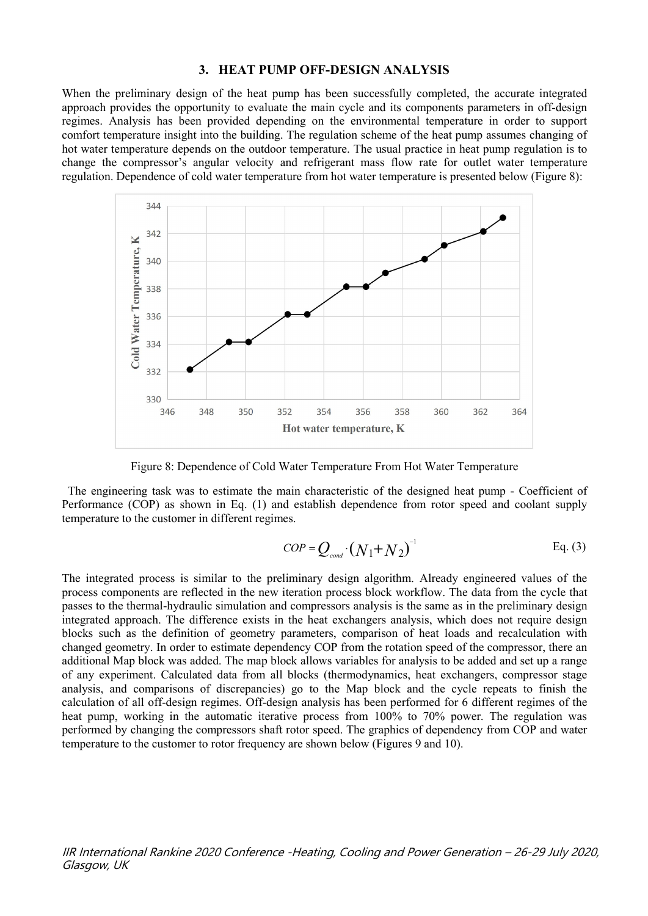#### **3. HEAT PUMP OFF-DESIGN ANALYSIS**

When the preliminary design of the heat pump has been successfully completed, the accurate integrated approach provides the opportunity to evaluate the main cycle and its components parameters in off-design regimes. Analysis has been provided depending on the environmental temperature in order to support comfort temperature insight into the building. The regulation scheme of the heat pump assumes changing of hot water temperature depends on the outdoor temperature. The usual practice in heat pump regulation is to change the compressor's angular velocity and refrigerant mass flow rate for outlet water temperature regulation. Dependence of cold water temperature from hot water temperature is presented below (Figure 8):



Figure 8: Dependence of Cold Water Temperature From Hot Water Temperature

The engineering task was to estimate the main characteristic of the designed heat pump - Coefficient of Performance (COP) as shown in Eq. (1) and establish dependence from rotor speed and coolant supply temperature to the customer in different regimes.

$$
COP = Q_{\text{cond}} \cdot (N_1 + N_2)^{-1}
$$
 Eq. (3)

The integrated process is similar to the preliminary design algorithm. Already engineered values of the process components are reflected in the new iteration process block workflow. The data from the cycle that passes to the thermal-hydraulic simulation and compressors analysis is the same as in the preliminary design integrated approach. The difference exists in the heat exchangers analysis, which does not require design blocks such as the definition of geometry parameters, comparison of heat loads and recalculation with changed geometry. In order to estimate dependency COP from the rotation speed of the compressor, there an additional Map block was added. The map block allows variables for analysis to be added and set up a range of any experiment. Calculated data from all blocks (thermodynamics, heat exchangers, compressor stage analysis, and comparisons of discrepancies) go to the Map block and the cycle repeats to finish the calculation of all off-design regimes. Off-design analysis has been performed for 6 different regimes of the heat pump, working in the automatic iterative process from 100% to 70% power. The regulation was performed by changing the compressors shaft rotor speed. The graphics of dependency from COP and water temperature to the customer to rotor frequency are shown below (Figures 9 and 10).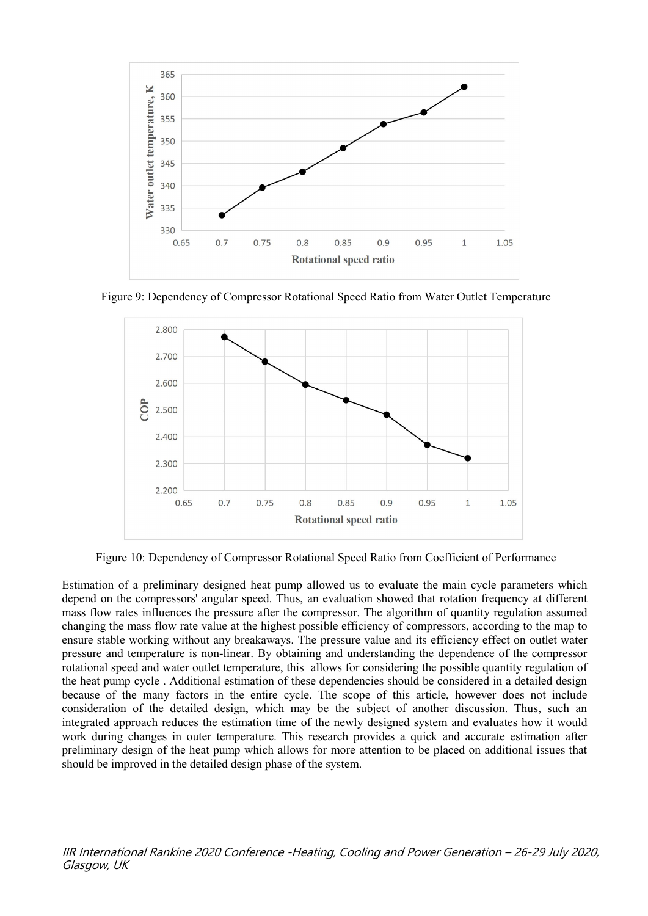

Figure 9: Dependency of Compressor Rotational Speed Ratio from Water Outlet Temperature



Figure 10: Dependency of Compressor Rotational Speed Ratio from Coefficient of Performance

Estimation of a preliminary designed heat pump allowed us to evaluate the main cycle parameters which depend on the compressors' angular speed. Thus, an evaluation showed that rotation frequency at different mass flow rates influences the pressure after the compressor. The algorithm of quantity regulation assumed changing the mass flow rate value at the highest possible efficiency of compressors, according to the map to ensure stable working without any breakaways. The pressure value and its efficiency effect on outlet water pressure and temperature is non-linear. By obtaining and understanding the dependence of the compressor rotational speed and water outlet temperature, this allows for considering the possible quantity regulation of the heat pump cycle . Additional estimation of these dependencies should be considered in a detailed design because of the many factors in the entire cycle. The scope of this article, however does not include consideration of the detailed design, which may be the subject of another discussion. Thus, such an integrated approach reduces the estimation time of the newly designed system and evaluates how it would work during changes in outer temperature. This research provides a quick and accurate estimation after preliminary design of the heat pump which allows for more attention to be placed on additional issues that should be improved in the detailed design phase of the system.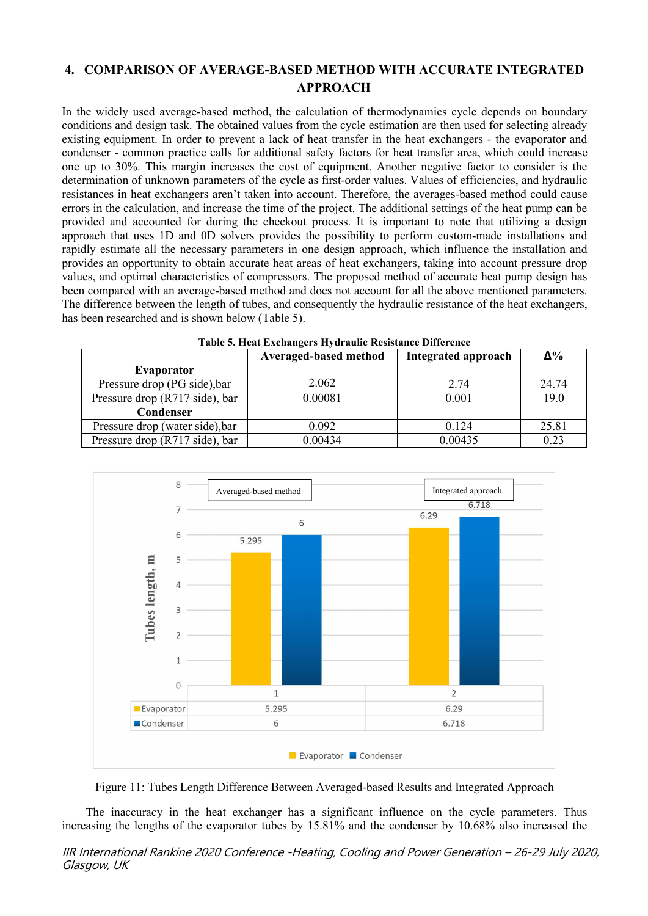# **4. COMPARISON OF AVERAGE-BASED METHOD WITH ACCURATE INTEGRATED APPROACH**

In the widely used average-based method, the calculation of thermodynamics cycle depends on boundary conditions and design task. The obtained values from the cycle estimation are then used for selecting already existing equipment. In order to prevent a lack of heat transfer in the heat exchangers - the evaporator and condenser - common practice calls for additional safety factors for heat transfer area, which could increase one up to 30%. This margin increases the cost of equipment. Another negative factor to consider is the determination of unknown parameters of the cycle as first-order values. Values of efficiencies, and hydraulic resistances in heat exchangers aren't taken into account. Therefore, the averages-based method could cause errors in the calculation, and increase the time of the project. The additional settings of the heat pump can be provided and accounted for during the checkout process. It is important to note that utilizing a design approach that uses 1D and 0D solvers provides the possibility to perform custom-made installations and rapidly estimate all the necessary parameters in one design approach, which influence the installation and provides an opportunity to obtain accurate heat areas of heat exchangers, taking into account pressure drop values, and optimal characteristics of compressors. The proposed method of accurate heat pump design has been compared with an average-based method and does not account for all the above mentioned parameters. The difference between the length of tubes, and consequently the hydraulic resistance of the heat exchangers, has been researched and is shown below (Table 5).

| Table 5. Heat Exchangers Hydraulic Resistance Difference |                            |       |  |  |
|----------------------------------------------------------|----------------------------|-------|--|--|
| Averaged-based method                                    | <b>Integrated approach</b> | Δ%    |  |  |
|                                                          |                            |       |  |  |
| 2.062                                                    | 2.74                       | 24.74 |  |  |
| 0.00081                                                  | 0.001                      | 19.0  |  |  |
|                                                          |                            |       |  |  |
| 0.092                                                    | 0.124                      | 25.81 |  |  |
| 0.00434                                                  | 0.00435                    | 0.23  |  |  |
|                                                          |                            |       |  |  |

| Table 5. Heat Exchangers Hydraulic Resistance Difference |  |  |
|----------------------------------------------------------|--|--|
|                                                          |  |  |



Figure 11: Tubes Length Difference Between Averaged-based Results and Integrated Approach

The inaccuracy in the heat exchanger has a significant influence on the cycle parameters. Thus increasing the lengths of the evaporator tubes by 15.81% and the condenser by 10.68% also increased the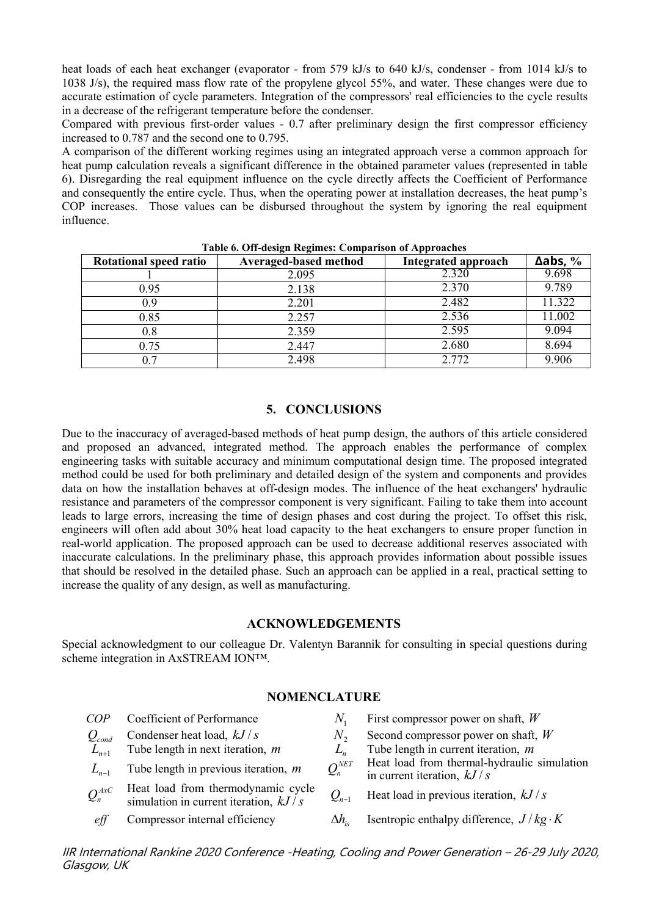heat loads of each heat exchanger (evaporator - from 579 kJ/s to 640 kJ/s, condenser - from 1014 kJ/s to 1038 J/s), the required mass flow rate of the propylene glycol 55%, and water. These changes were due to accurate estimation of cycle parameters. Integration of the compressors' real efficiencies to the cycle results in a decrease of the refrigerant temperature before the condenser.

Compared with previous first-order values - 0.7 after preliminary design the first compressor efficiency increased to 0.787 and the second one to 0.795.

A comparison of the different working regimes using an integrated approach verse a common approach for heat pump calculation reveals a significant difference in the obtained parameter values (represented in table 6). Disregarding the real equipment influence on the cycle directly affects the Coefficient of Performance and consequently the entire cycle. Thus, when the operating power at installation decreases, the heat pump's COP increases. Those values can be disbursed throughout the system by ignoring the real equipment influence.

| <b>Rotational speed ratio</b> | Averaged-based method | <b>Integrated approach</b> | $\Delta$ abs, $\%$ |
|-------------------------------|-----------------------|----------------------------|--------------------|
|                               | 2.095                 | 2.320                      | 9.698              |
| 0.95                          | 2.138                 | 2.370                      | 9.789              |
| 0.9                           | 2.201                 | 2.482                      | 1.322              |
| 0.85                          | 2.257                 | 2.536                      | 1.002              |
| 0.8                           | 2.359                 | 2.595                      | 9.094              |
| 0.75                          | 2.447                 | 2.680                      | 8.694              |
| 0.7                           | 2.498                 | 2.772                      | 9.906              |

**Table 6. Off-design Regimes:Comparison of Approaches**

#### **5. CONCLUSIONS**

Due to the inaccuracy of averaged-based methods of heat pump design, the authors of this article considered and proposed an advanced, integrated method. The approach enables the performance of complex engineering tasks with suitable accuracy and minimum computational design time. The proposed integrated method could be used for both preliminary and detailed design of the system and components and provides data on how the installation behaves at off-design modes. The influence of the heat exchangers' hydraulic resistance and parameters of the compressor component is very significant. Failing to take them into account leads to large errors, increasing the time of design phases and cost during the project. To offset this risk, engineers will often add about 30% heat load capacity to the heat exchangers to ensure proper function in real-world application. The proposed approach can be used to decrease additional reserves associated with inaccurate calculations. In the preliminary phase, this approach provides information about possible issues that should be resolved in the detailed phase. Such an approach can be applied in a real, practical setting to increase the quality of any design, as well as manufacturing.

#### **ACKNOWLEDGEMENTS**

Special acknowledgment to our colleague Dr. Valentyn Barannik for consulting in special questions during scheme integration in AxSTREAM ION™.

### **NOMENCLATURE**

| COP                      | Coefficient of Performance                                                    |                                               | First compressor power on shaft, $W$                                        |
|--------------------------|-------------------------------------------------------------------------------|-----------------------------------------------|-----------------------------------------------------------------------------|
| $Q_{\text{\tiny{conn}}}$ | Condenser heat load, $kJ/s$                                                   | $IV -$                                        | Second compressor power on shaft, $W$                                       |
|                          | Tube length in next iteration, $m$                                            |                                               | Tube length in current iteration, $m$                                       |
|                          | Tube length in previous iteration, $m$                                        | $Q_n^{NET}$                                   | Heat load from thermal-hydraulic simulation<br>in current iteration, $kJ/s$ |
| $Q_n^{AxC}$              | Heat load from thermodynamic cycle<br>simulation in current iteration, $kJ/s$ | $\mathcal{Q}_{\scriptscriptstyle n\text{-}1}$ | Heat load in previous iteration, $kJ/s$                                     |
| eff                      | Compressor internal efficiency                                                | Δh.                                           | Isentropic enthalpy difference, $J/kg \cdot K$                              |